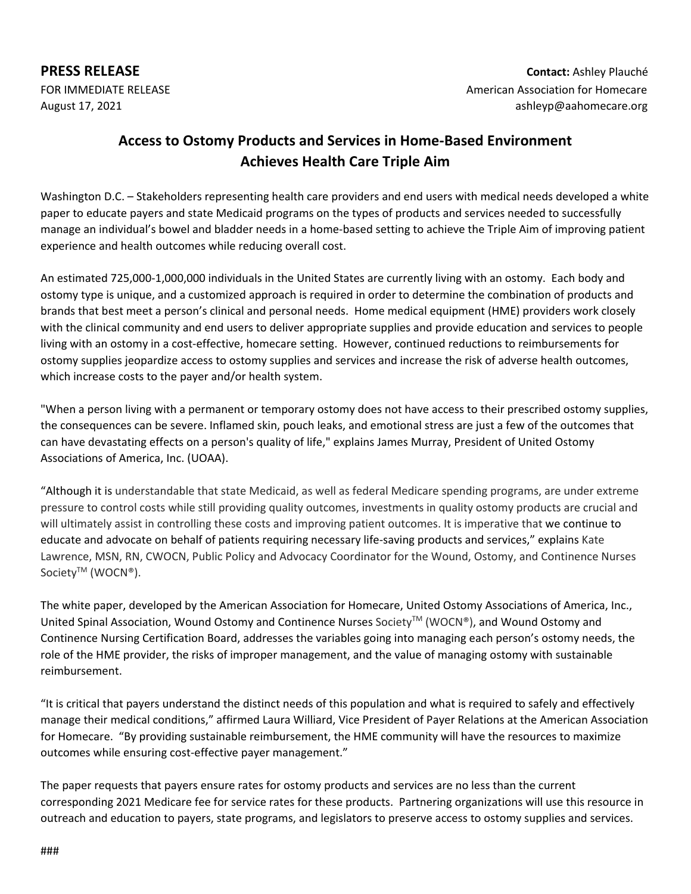**PRESS RELEASE Contact:** Ashley Plauché FOR IMMEDIATE RELEASE And The Second Line of American Association for Homecare August 17, 2021 **ashleyp@aahomecare.org** ashleyp@aahomecare.org

## **Access to Ostomy Products and Services in Home-Based Environment Achieves Health Care Triple Aim**

Washington D.C. – Stakeholders representing health care providers and end users with medical needs developed a white paper to educate payers and state Medicaid programs on the types of products and services needed to successfully manage an individual's bowel and bladder needs in a home-based setting to achieve the Triple Aim of improving patient experience and health outcomes while reducing overall cost.

An estimated 725,000-1,000,000 individuals in the United States are currently living with an ostomy. Each body and ostomy type is unique, and a customized approach is required in order to determine the combination of products and brands that best meet a person's clinical and personal needs. Home medical equipment (HME) providers work closely with the clinical community and end users to deliver appropriate supplies and provide education and services to people living with an ostomy in a cost-effective, homecare setting. However, continued reductions to reimbursements for ostomy supplies jeopardize access to ostomy supplies and services and increase the risk of adverse health outcomes, which increase costs to the payer and/or health system.

"When a person living with a permanent or temporary ostomy does not have access to their prescribed ostomy supplies, the consequences can be severe. Inflamed skin, pouch leaks, and emotional stress are just a few of the outcomes that can have devastating effects on a person's quality of life," explains James Murray, President of United Ostomy Associations of America, Inc. (UOAA).

"Although it is understandable that state Medicaid, as well as federal Medicare spending programs, are under extreme pressure to control costs while still providing quality outcomes, investments in quality ostomy products are crucial and will ultimately assist in controlling these costs and improving patient outcomes. It is imperative that we continue to educate and advocate on behalf of patients requiring necessary life-saving products and services," explains Kate Lawrence, MSN, RN, CWOCN, Public Policy and Advocacy Coordinator for the Wound, Ostomy, and Continence Nurses Society<sup>™</sup> (WOCN<sup>®</sup>).

The white paper, developed by the American Association for Homecare, United Ostomy Associations of America, Inc., United Spinal Association, Wound Ostomy and Continence Nurses Society™ (WOCN®), and Wound Ostomy and Continence Nursing Certification Board, addresses the variables going into managing each person's ostomy needs, the role of the HME provider, the risks of improper management, and the value of managing ostomy with sustainable reimbursement.

"It is critical that payers understand the distinct needs of this population and what is required to safely and effectively manage their medical conditions," affirmed Laura Williard, Vice President of Payer Relations at the American Association for Homecare. "By providing sustainable reimbursement, the HME community will have the resources to maximize outcomes while ensuring cost-effective payer management."

The paper requests that payers ensure rates for ostomy products and services are no less than the current corresponding 2021 Medicare fee for service rates for these products. Partnering organizations will use this resource in outreach and education to payers, state programs, and legislators to preserve access to ostomy supplies and services.